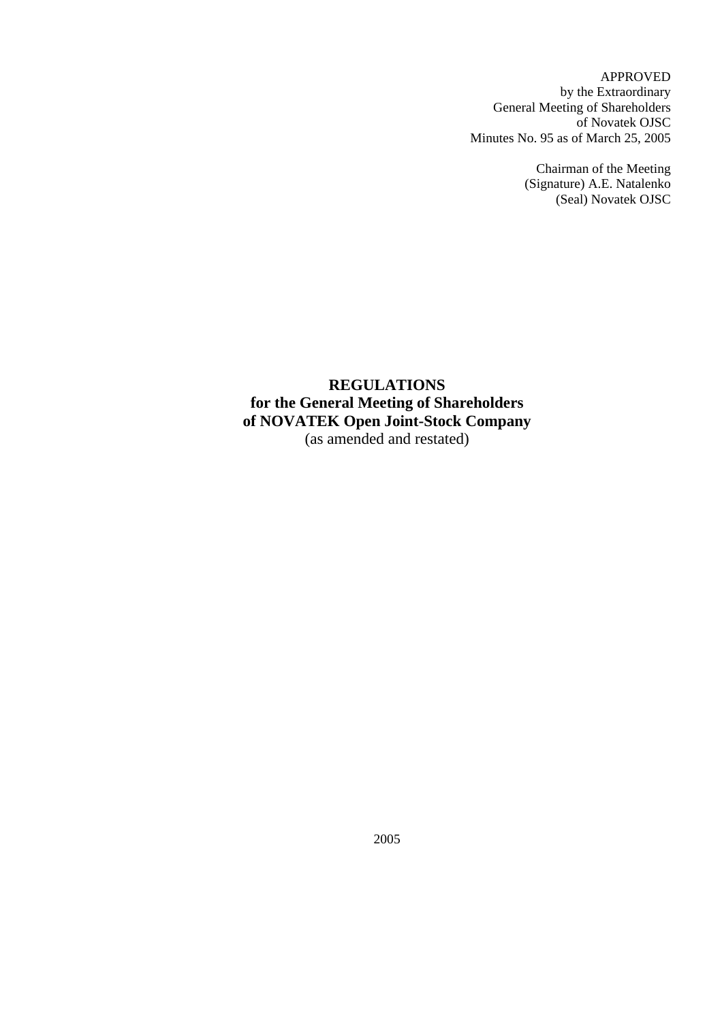APPROVED by the Extraordinary General Meeting of Shareholders of Novatek OJSC Minutes No. 95 as of March 25, 2005

> Chairman of the Meeting (Signature) A.E. Natalenko (Seal) Novatek OJSC

# **REGULATIONS for the General Meeting of Shareholders of NOVATEK Open Joint-Stock Company**  (as amended and restated)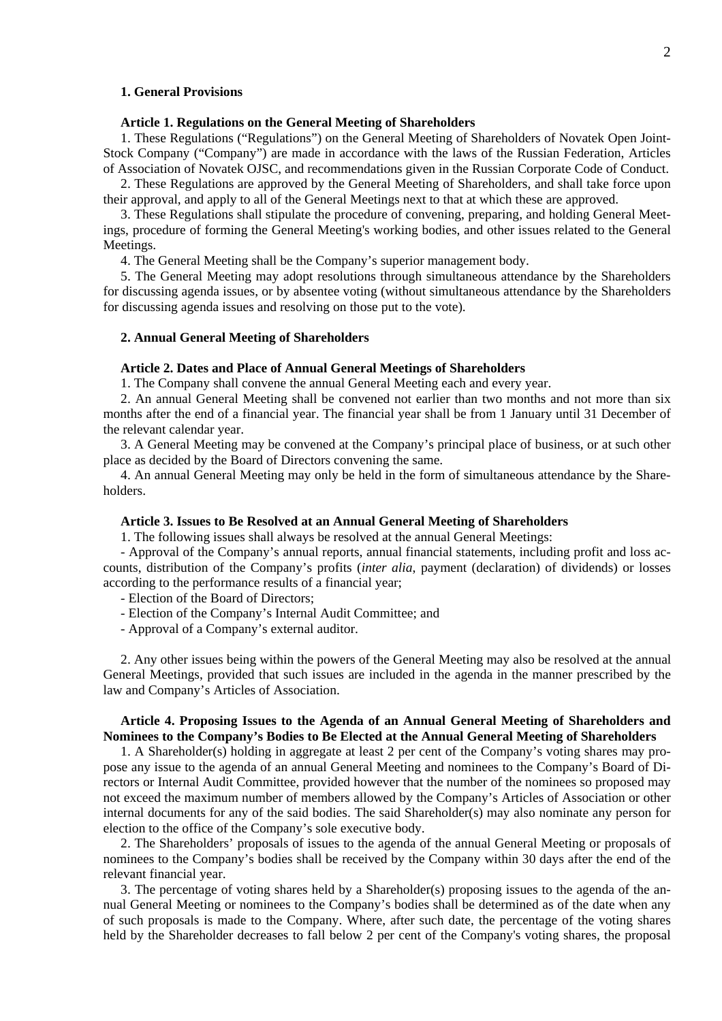### **1. General Provisions**

#### **Article 1. Regulations on the General Meeting of Shareholders**

1. These Regulations ("Regulations") on the General Meeting of Shareholders of Novatek Open Joint-Stock Company ("Company") are made in accordance with the laws of the Russian Federation, Articles of Association of Novatek OJSC, and recommendations given in the Russian Corporate Code of Conduct.

2. These Regulations are approved by the General Meeting of Shareholders, and shall take force upon their approval, and apply to all of the General Meetings next to that at which these are approved.

3. These Regulations shall stipulate the procedure of convening, preparing, and holding General Meetings, procedure of forming the General Meeting's working bodies, and other issues related to the General Meetings.

4. The General Meeting shall be the Company's superior management body.

5. The General Meeting may adopt resolutions through simultaneous attendance by the Shareholders for discussing agenda issues, or by absentee voting (without simultaneous attendance by the Shareholders for discussing agenda issues and resolving on those put to the vote).

### **2. Annual General Meeting of Shareholders**

## **Article 2. Dates and Place of Annual General Meetings of Shareholders**

1. The Company shall convene the annual General Meeting each and every year.

2. An annual General Meeting shall be convened not earlier than two months and not more than six months after the end of a financial year. The financial year shall be from 1 January until 31 December of the relevant calendar year.

3. A General Meeting may be convened at the Company's principal place of business, or at such other place as decided by the Board of Directors convening the same.

4. An annual General Meeting may only be held in the form of simultaneous attendance by the Shareholders.

#### **Article 3. Issues to Be Resolved at an Annual General Meeting of Shareholders**

1. The following issues shall always be resolved at the annual General Meetings:

- Approval of the Company's annual reports, annual financial statements, including profit and loss accounts, distribution of the Company's profits (*inter alia*, payment (declaration) of dividends) or losses according to the performance results of a financial year;

- Election of the Board of Directors;

- Election of the Company's Internal Audit Committee; and
- Approval of a Company's external auditor.

2. Any other issues being within the powers of the General Meeting may also be resolved at the annual General Meetings, provided that such issues are included in the agenda in the manner prescribed by the law and Company's Articles of Association.

### **Article 4. Proposing Issues to the Agenda of an Annual General Meeting of Shareholders and Nominees to the Company's Bodies to Be Elected at the Annual General Meeting of Shareholders**

1. A Shareholder(s) holding in aggregate at least 2 per cent of the Company's voting shares may propose any issue to the agenda of an annual General Meeting and nominees to the Company's Board of Directors or Internal Audit Committee, provided however that the number of the nominees so proposed may not exceed the maximum number of members allowed by the Company's Articles of Association or other internal documents for any of the said bodies. The said Shareholder(s) may also nominate any person for election to the office of the Company's sole executive body.

2. The Shareholders' proposals of issues to the agenda of the annual General Meeting or proposals of nominees to the Company's bodies shall be received by the Company within 30 days after the end of the relevant financial year.

3. The percentage of voting shares held by a Shareholder(s) proposing issues to the agenda of the annual General Meeting or nominees to the Company's bodies shall be determined as of the date when any of such proposals is made to the Company. Where, after such date, the percentage of the voting shares held by the Shareholder decreases to fall below 2 per cent of the Company's voting shares, the proposal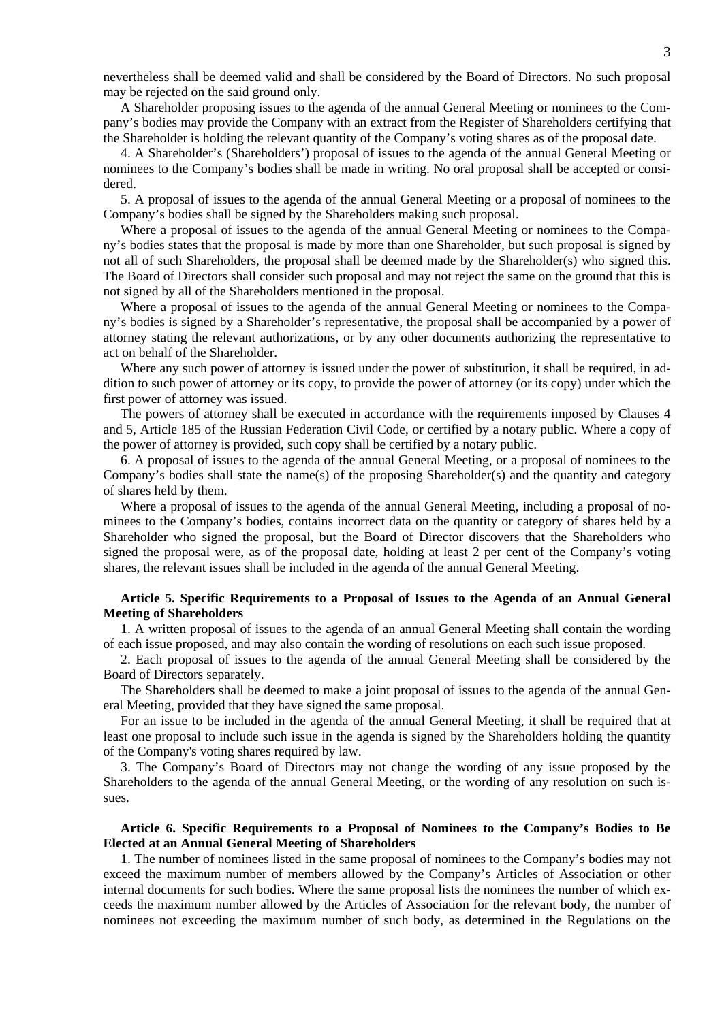nevertheless shall be deemed valid and shall be considered by the Board of Directors. No such proposal may be rejected on the said ground only.

A Shareholder proposing issues to the agenda of the annual General Meeting or nominees to the Company's bodies may provide the Company with an extract from the Register of Shareholders certifying that the Shareholder is holding the relevant quantity of the Company's voting shares as of the proposal date.

4. A Shareholder's (Shareholders') proposal of issues to the agenda of the annual General Meeting or nominees to the Company's bodies shall be made in writing. No oral proposal shall be accepted or considered.

5. A proposal of issues to the agenda of the annual General Meeting or a proposal of nominees to the Company's bodies shall be signed by the Shareholders making such proposal.

Where a proposal of issues to the agenda of the annual General Meeting or nominees to the Company's bodies states that the proposal is made by more than one Shareholder, but such proposal is signed by not all of such Shareholders, the proposal shall be deemed made by the Shareholder(s) who signed this. The Board of Directors shall consider such proposal and may not reject the same on the ground that this is not signed by all of the Shareholders mentioned in the proposal.

Where a proposal of issues to the agenda of the annual General Meeting or nominees to the Company's bodies is signed by a Shareholder's representative, the proposal shall be accompanied by a power of attorney stating the relevant authorizations, or by any other documents authorizing the representative to act on behalf of the Shareholder.

Where any such power of attorney is issued under the power of substitution, it shall be required, in addition to such power of attorney or its copy, to provide the power of attorney (or its copy) under which the first power of attorney was issued.

The powers of attorney shall be executed in accordance with the requirements imposed by Clauses 4 and 5, Article 185 of the Russian Federation Civil Code, or certified by a notary public. Where a copy of the power of attorney is provided, such copy shall be certified by a notary public.

6. A proposal of issues to the agenda of the annual General Meeting, or a proposal of nominees to the Company's bodies shall state the name(s) of the proposing Shareholder(s) and the quantity and category of shares held by them.

Where a proposal of issues to the agenda of the annual General Meeting, including a proposal of nominees to the Company's bodies, contains incorrect data on the quantity or category of shares held by a Shareholder who signed the proposal, but the Board of Director discovers that the Shareholders who signed the proposal were, as of the proposal date, holding at least 2 per cent of the Company's voting shares, the relevant issues shall be included in the agenda of the annual General Meeting.

### **Article 5. Specific Requirements to a Proposal of Issues to the Agenda of an Annual General Meeting of Shareholders**

1. A written proposal of issues to the agenda of an annual General Meeting shall contain the wording of each issue proposed, and may also contain the wording of resolutions on each such issue proposed.

2. Each proposal of issues to the agenda of the annual General Meeting shall be considered by the Board of Directors separately.

The Shareholders shall be deemed to make a joint proposal of issues to the agenda of the annual General Meeting, provided that they have signed the same proposal.

For an issue to be included in the agenda of the annual General Meeting, it shall be required that at least one proposal to include such issue in the agenda is signed by the Shareholders holding the quantity of the Company's voting shares required by law.

3. The Company's Board of Directors may not change the wording of any issue proposed by the Shareholders to the agenda of the annual General Meeting, or the wording of any resolution on such issues.

# **Article 6. Specific Requirements to a Proposal of Nominees to the Company's Bodies to Be Elected at an Annual General Meeting of Shareholders**

1. The number of nominees listed in the same proposal of nominees to the Company's bodies may not exceed the maximum number of members allowed by the Company's Articles of Association or other internal documents for such bodies. Where the same proposal lists the nominees the number of which exceeds the maximum number allowed by the Articles of Association for the relevant body, the number of nominees not exceeding the maximum number of such body, as determined in the Regulations on the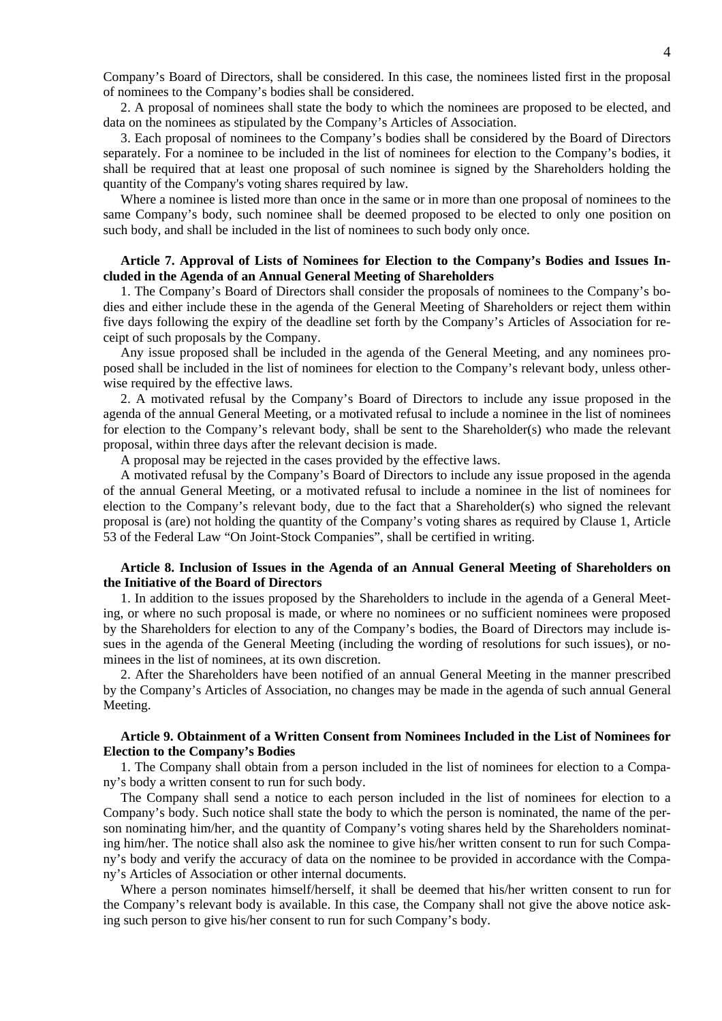Company's Board of Directors, shall be considered. In this case, the nominees listed first in the proposal of nominees to the Company's bodies shall be considered.

2. A proposal of nominees shall state the body to which the nominees are proposed to be elected, and data on the nominees as stipulated by the Company's Articles of Association.

3. Each proposal of nominees to the Company's bodies shall be considered by the Board of Directors separately. For a nominee to be included in the list of nominees for election to the Company's bodies, it shall be required that at least one proposal of such nominee is signed by the Shareholders holding the quantity of the Company's voting shares required by law.

Where a nominee is listed more than once in the same or in more than one proposal of nominees to the same Company's body, such nominee shall be deemed proposed to be elected to only one position on such body, and shall be included in the list of nominees to such body only once.

### **Article 7. Approval of Lists of Nominees for Election to the Company's Bodies and Issues Included in the Agenda of an Annual General Meeting of Shareholders**

1. The Company's Board of Directors shall consider the proposals of nominees to the Company's bodies and either include these in the agenda of the General Meeting of Shareholders or reject them within five days following the expiry of the deadline set forth by the Company's Articles of Association for receipt of such proposals by the Company.

Any issue proposed shall be included in the agenda of the General Meeting, and any nominees proposed shall be included in the list of nominees for election to the Company's relevant body, unless otherwise required by the effective laws.

2. A motivated refusal by the Company's Board of Directors to include any issue proposed in the agenda of the annual General Meeting, or a motivated refusal to include a nominee in the list of nominees for election to the Company's relevant body, shall be sent to the Shareholder(s) who made the relevant proposal, within three days after the relevant decision is made.

A proposal may be rejected in the cases provided by the effective laws.

A motivated refusal by the Company's Board of Directors to include any issue proposed in the agenda of the annual General Meeting, or a motivated refusal to include a nominee in the list of nominees for election to the Company's relevant body, due to the fact that a Shareholder(s) who signed the relevant proposal is (are) not holding the quantity of the Company's voting shares as required by Clause 1, Article 53 of the Federal Law "On Joint-Stock Companies", shall be certified in writing.

# **Article 8. Inclusion of Issues in the Agenda of an Annual General Meeting of Shareholders on the Initiative of the Board of Directors**

1. In addition to the issues proposed by the Shareholders to include in the agenda of a General Meeting, or where no such proposal is made, or where no nominees or no sufficient nominees were proposed by the Shareholders for election to any of the Company's bodies, the Board of Directors may include issues in the agenda of the General Meeting (including the wording of resolutions for such issues), or nominees in the list of nominees, at its own discretion.

2. After the Shareholders have been notified of an annual General Meeting in the manner prescribed by the Company's Articles of Association, no changes may be made in the agenda of such annual General Meeting.

# **Article 9. Obtainment of a Written Consent from Nominees Included in the List of Nominees for Election to the Company's Bodies**

1. The Company shall obtain from a person included in the list of nominees for election to a Company's body a written consent to run for such body.

The Company shall send a notice to each person included in the list of nominees for election to a Company's body. Such notice shall state the body to which the person is nominated, the name of the person nominating him/her, and the quantity of Company's voting shares held by the Shareholders nominating him/her. The notice shall also ask the nominee to give his/her written consent to run for such Company's body and verify the accuracy of data on the nominee to be provided in accordance with the Company's Articles of Association or other internal documents.

Where a person nominates himself/herself, it shall be deemed that his/her written consent to run for the Company's relevant body is available. In this case, the Company shall not give the above notice asking such person to give his/her consent to run for such Company's body.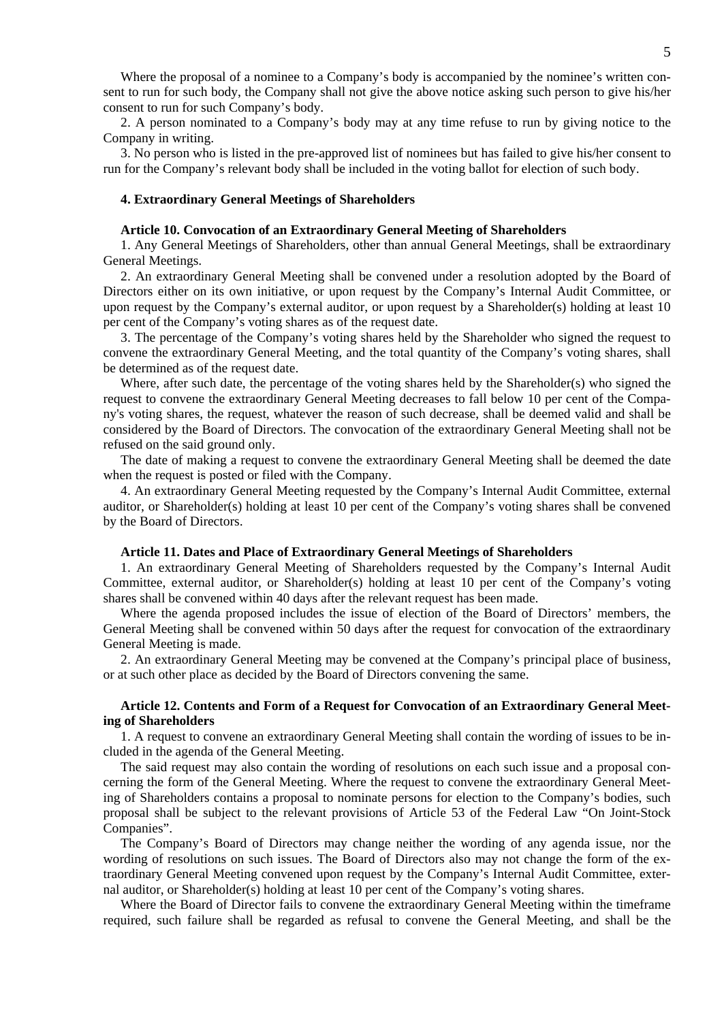Where the proposal of a nominee to a Company's body is accompanied by the nominee's written consent to run for such body, the Company shall not give the above notice asking such person to give his/her consent to run for such Company's body.

2. A person nominated to a Company's body may at any time refuse to run by giving notice to the Company in writing.

3. No person who is listed in the pre-approved list of nominees but has failed to give his/her consent to run for the Company's relevant body shall be included in the voting ballot for election of such body.

#### **4. Extraordinary General Meetings of Shareholders**

#### **Article 10. Convocation of an Extraordinary General Meeting of Shareholders**

1. Any General Meetings of Shareholders, other than annual General Meetings, shall be extraordinary General Meetings.

2. An extraordinary General Meeting shall be convened under a resolution adopted by the Board of Directors either on its own initiative, or upon request by the Company's Internal Audit Committee, or upon request by the Company's external auditor, or upon request by a Shareholder(s) holding at least 10 per cent of the Company's voting shares as of the request date.

3. The percentage of the Company's voting shares held by the Shareholder who signed the request to convene the extraordinary General Meeting, and the total quantity of the Company's voting shares, shall be determined as of the request date.

Where, after such date, the percentage of the voting shares held by the Shareholder(s) who signed the request to convene the extraordinary General Meeting decreases to fall below 10 per cent of the Company's voting shares, the request, whatever the reason of such decrease, shall be deemed valid and shall be considered by the Board of Directors. The convocation of the extraordinary General Meeting shall not be refused on the said ground only.

The date of making a request to convene the extraordinary General Meeting shall be deemed the date when the request is posted or filed with the Company.

4. An extraordinary General Meeting requested by the Company's Internal Audit Committee, external auditor, or Shareholder(s) holding at least 10 per cent of the Company's voting shares shall be convened by the Board of Directors.

### **Article 11. Dates and Place of Extraordinary General Meetings of Shareholders**

1. An extraordinary General Meeting of Shareholders requested by the Company's Internal Audit Committee, external auditor, or Shareholder(s) holding at least 10 per cent of the Company's voting shares shall be convened within 40 days after the relevant request has been made.

Where the agenda proposed includes the issue of election of the Board of Directors' members, the General Meeting shall be convened within 50 days after the request for convocation of the extraordinary General Meeting is made.

2. An extraordinary General Meeting may be convened at the Company's principal place of business, or at such other place as decided by the Board of Directors convening the same.

### **Article 12. Contents and Form of a Request for Convocation of an Extraordinary General Meeting of Shareholders**

1. A request to convene an extraordinary General Meeting shall contain the wording of issues to be included in the agenda of the General Meeting.

The said request may also contain the wording of resolutions on each such issue and a proposal concerning the form of the General Meeting. Where the request to convene the extraordinary General Meeting of Shareholders contains a proposal to nominate persons for election to the Company's bodies, such proposal shall be subject to the relevant provisions of Article 53 of the Federal Law "On Joint-Stock Companies".

The Company's Board of Directors may change neither the wording of any agenda issue, nor the wording of resolutions on such issues. The Board of Directors also may not change the form of the extraordinary General Meeting convened upon request by the Company's Internal Audit Committee, external auditor, or Shareholder(s) holding at least 10 per cent of the Company's voting shares.

Where the Board of Director fails to convene the extraordinary General Meeting within the timeframe required, such failure shall be regarded as refusal to convene the General Meeting, and shall be the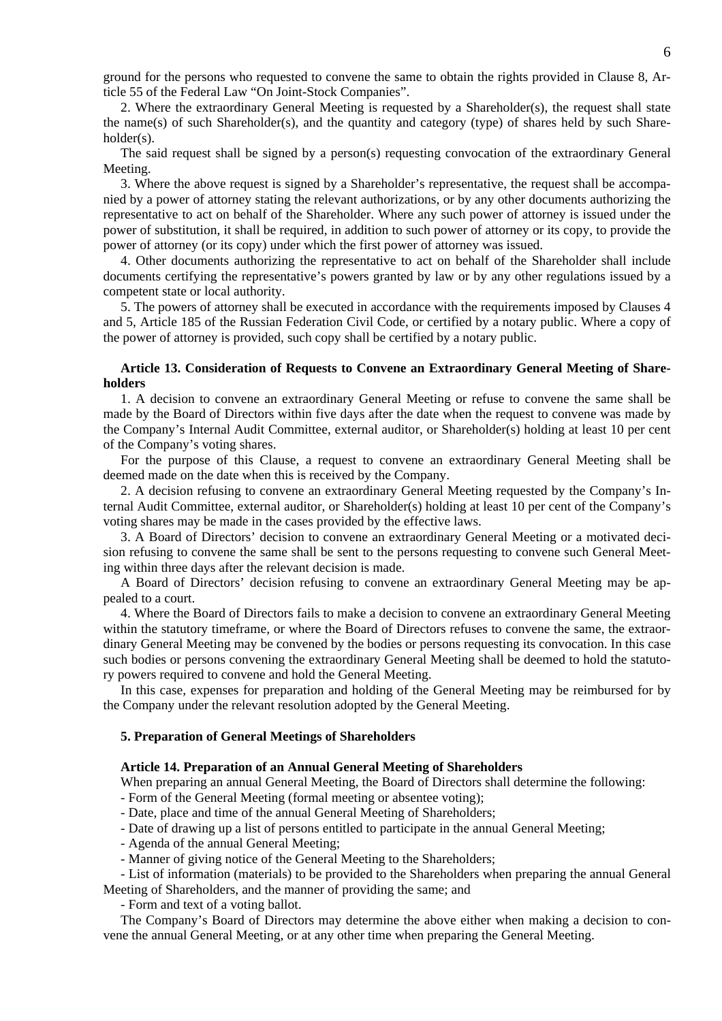ground for the persons who requested to convene the same to obtain the rights provided in Clause 8, Article 55 of the Federal Law "On Joint-Stock Companies".

2. Where the extraordinary General Meeting is requested by a Shareholder(s), the request shall state the name(s) of such Shareholder(s), and the quantity and category (type) of shares held by such Shareholder(s).

The said request shall be signed by a person(s) requesting convocation of the extraordinary General Meeting.

3. Where the above request is signed by a Shareholder's representative, the request shall be accompanied by a power of attorney stating the relevant authorizations, or by any other documents authorizing the representative to act on behalf of the Shareholder. Where any such power of attorney is issued under the power of substitution, it shall be required, in addition to such power of attorney or its copy, to provide the power of attorney (or its copy) under which the first power of attorney was issued.

4. Other documents authorizing the representative to act on behalf of the Shareholder shall include documents certifying the representative's powers granted by law or by any other regulations issued by a competent state or local authority.

5. The powers of attorney shall be executed in accordance with the requirements imposed by Clauses 4 and 5, Article 185 of the Russian Federation Civil Code, or certified by a notary public. Where a copy of the power of attorney is provided, such copy shall be certified by a notary public.

## **Article 13. Consideration of Requests to Convene an Extraordinary General Meeting of Shareholders**

1. A decision to convene an extraordinary General Meeting or refuse to convene the same shall be made by the Board of Directors within five days after the date when the request to convene was made by the Company's Internal Audit Committee, external auditor, or Shareholder(s) holding at least 10 per cent of the Company's voting shares.

For the purpose of this Clause, a request to convene an extraordinary General Meeting shall be deemed made on the date when this is received by the Company.

2. A decision refusing to convene an extraordinary General Meeting requested by the Company's Internal Audit Committee, external auditor, or Shareholder(s) holding at least 10 per cent of the Company's voting shares may be made in the cases provided by the effective laws.

3. A Board of Directors' decision to convene an extraordinary General Meeting or a motivated decision refusing to convene the same shall be sent to the persons requesting to convene such General Meeting within three days after the relevant decision is made.

A Board of Directors' decision refusing to convene an extraordinary General Meeting may be appealed to a court.

4. Where the Board of Directors fails to make a decision to convene an extraordinary General Meeting within the statutory timeframe, or where the Board of Directors refuses to convene the same, the extraordinary General Meeting may be convened by the bodies or persons requesting its convocation. In this case such bodies or persons convening the extraordinary General Meeting shall be deemed to hold the statutory powers required to convene and hold the General Meeting.

In this case, expenses for preparation and holding of the General Meeting may be reimbursed for by the Company under the relevant resolution adopted by the General Meeting.

#### **5. Preparation of General Meetings of Shareholders**

#### **Article 14. Preparation of an Annual General Meeting of Shareholders**

When preparing an annual General Meeting, the Board of Directors shall determine the following:

- Form of the General Meeting (formal meeting or absentee voting);

- Date, place and time of the annual General Meeting of Shareholders;
- Date of drawing up a list of persons entitled to participate in the annual General Meeting;
- Agenda of the annual General Meeting;
- Manner of giving notice of the General Meeting to the Shareholders;

- List of information (materials) to be provided to the Shareholders when preparing the annual General Meeting of Shareholders, and the manner of providing the same; and

- Form and text of a voting ballot.

The Company's Board of Directors may determine the above either when making a decision to convene the annual General Meeting, or at any other time when preparing the General Meeting.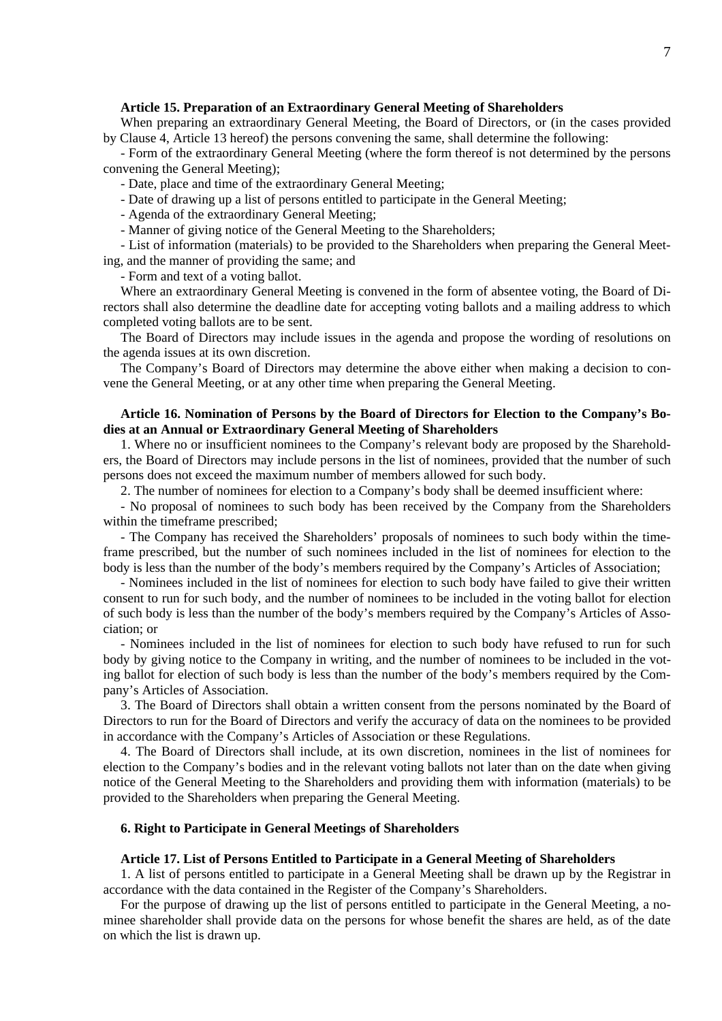### **Article 15. Preparation of an Extraordinary General Meeting of Shareholders**

When preparing an extraordinary General Meeting, the Board of Directors, or (in the cases provided by Clause 4, Article 13 hereof) the persons convening the same, shall determine the following:

- Form of the extraordinary General Meeting (where the form thereof is not determined by the persons convening the General Meeting);

- Date, place and time of the extraordinary General Meeting;

- Date of drawing up a list of persons entitled to participate in the General Meeting;
- Agenda of the extraordinary General Meeting;
- Manner of giving notice of the General Meeting to the Shareholders;

- List of information (materials) to be provided to the Shareholders when preparing the General Meeting, and the manner of providing the same; and

- Form and text of a voting ballot.

Where an extraordinary General Meeting is convened in the form of absentee voting, the Board of Directors shall also determine the deadline date for accepting voting ballots and a mailing address to which completed voting ballots are to be sent.

The Board of Directors may include issues in the agenda and propose the wording of resolutions on the agenda issues at its own discretion.

The Company's Board of Directors may determine the above either when making a decision to convene the General Meeting, or at any other time when preparing the General Meeting.

### **Article 16. Nomination of Persons by the Board of Directors for Election to the Company's Bodies at an Annual or Extraordinary General Meeting of Shareholders**

1. Where no or insufficient nominees to the Company's relevant body are proposed by the Shareholders, the Board of Directors may include persons in the list of nominees, provided that the number of such persons does not exceed the maximum number of members allowed for such body.

2. The number of nominees for election to a Company's body shall be deemed insufficient where:

- No proposal of nominees to such body has been received by the Company from the Shareholders within the timeframe prescribed;

- The Company has received the Shareholders' proposals of nominees to such body within the timeframe prescribed, but the number of such nominees included in the list of nominees for election to the body is less than the number of the body's members required by the Company's Articles of Association;

- Nominees included in the list of nominees for election to such body have failed to give their written consent to run for such body, and the number of nominees to be included in the voting ballot for election of such body is less than the number of the body's members required by the Company's Articles of Association; or

- Nominees included in the list of nominees for election to such body have refused to run for such body by giving notice to the Company in writing, and the number of nominees to be included in the voting ballot for election of such body is less than the number of the body's members required by the Company's Articles of Association.

3. The Board of Directors shall obtain a written consent from the persons nominated by the Board of Directors to run for the Board of Directors and verify the accuracy of data on the nominees to be provided in accordance with the Company's Articles of Association or these Regulations.

4. The Board of Directors shall include, at its own discretion, nominees in the list of nominees for election to the Company's bodies and in the relevant voting ballots not later than on the date when giving notice of the General Meeting to the Shareholders and providing them with information (materials) to be provided to the Shareholders when preparing the General Meeting.

# **6. Right to Participate in General Meetings of Shareholders**

#### **Article 17. List of Persons Entitled to Participate in a General Meeting of Shareholders**

1. A list of persons entitled to participate in a General Meeting shall be drawn up by the Registrar in accordance with the data contained in the Register of the Company's Shareholders.

For the purpose of drawing up the list of persons entitled to participate in the General Meeting, a nominee shareholder shall provide data on the persons for whose benefit the shares are held, as of the date on which the list is drawn up.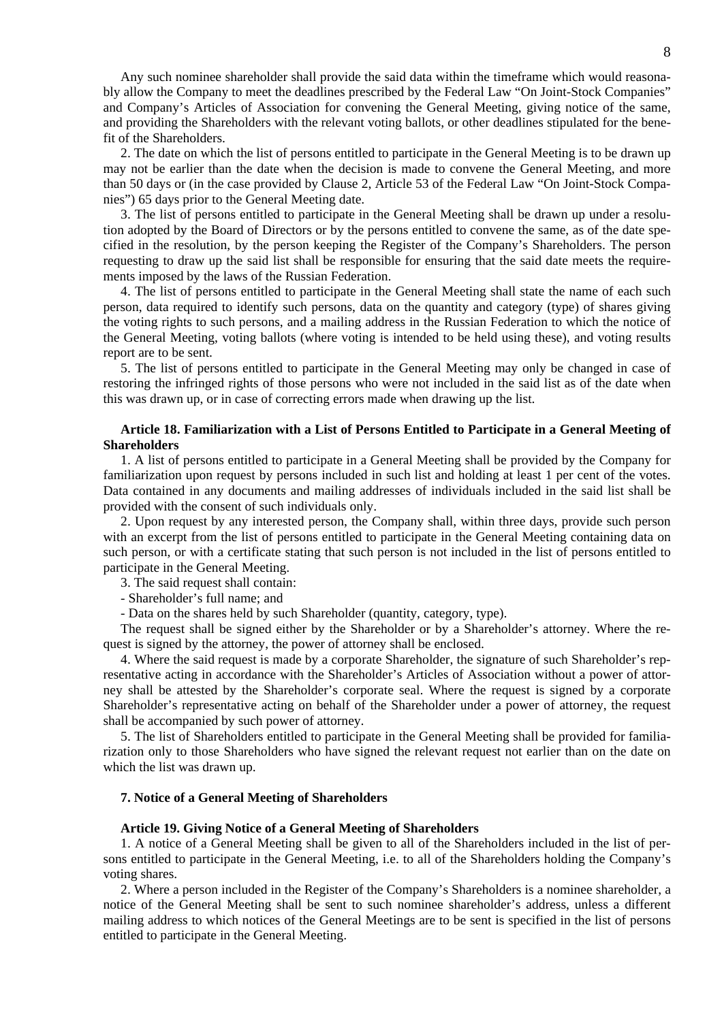Any such nominee shareholder shall provide the said data within the timeframe which would reasonably allow the Company to meet the deadlines prescribed by the Federal Law "On Joint-Stock Companies" and Company's Articles of Association for convening the General Meeting, giving notice of the same, and providing the Shareholders with the relevant voting ballots, or other deadlines stipulated for the benefit of the Shareholders.

2. The date on which the list of persons entitled to participate in the General Meeting is to be drawn up may not be earlier than the date when the decision is made to convene the General Meeting, and more than 50 days or (in the case provided by Clause 2, Article 53 of the Federal Law "On Joint-Stock Companies") 65 days prior to the General Meeting date.

3. The list of persons entitled to participate in the General Meeting shall be drawn up under a resolution adopted by the Board of Directors or by the persons entitled to convene the same, as of the date specified in the resolution, by the person keeping the Register of the Company's Shareholders. The person requesting to draw up the said list shall be responsible for ensuring that the said date meets the requirements imposed by the laws of the Russian Federation.

4. The list of persons entitled to participate in the General Meeting shall state the name of each such person, data required to identify such persons, data on the quantity and category (type) of shares giving the voting rights to such persons, and a mailing address in the Russian Federation to which the notice of the General Meeting, voting ballots (where voting is intended to be held using these), and voting results report are to be sent.

5. The list of persons entitled to participate in the General Meeting may only be changed in case of restoring the infringed rights of those persons who were not included in the said list as of the date when this was drawn up, or in case of correcting errors made when drawing up the list.

## **Article 18. Familiarization with a List of Persons Entitled to Participate in a General Meeting of Shareholders**

1. A list of persons entitled to participate in a General Meeting shall be provided by the Company for familiarization upon request by persons included in such list and holding at least 1 per cent of the votes. Data contained in any documents and mailing addresses of individuals included in the said list shall be provided with the consent of such individuals only.

2. Upon request by any interested person, the Company shall, within three days, provide such person with an excerpt from the list of persons entitled to participate in the General Meeting containing data on such person, or with a certificate stating that such person is not included in the list of persons entitled to participate in the General Meeting.

3. The said request shall contain:

- Shareholder's full name; and

- Data on the shares held by such Shareholder (quantity, category, type).

The request shall be signed either by the Shareholder or by a Shareholder's attorney. Where the request is signed by the attorney, the power of attorney shall be enclosed.

4. Where the said request is made by a corporate Shareholder, the signature of such Shareholder's representative acting in accordance with the Shareholder's Articles of Association without a power of attorney shall be attested by the Shareholder's corporate seal. Where the request is signed by a corporate Shareholder's representative acting on behalf of the Shareholder under a power of attorney, the request shall be accompanied by such power of attorney.

5. The list of Shareholders entitled to participate in the General Meeting shall be provided for familiarization only to those Shareholders who have signed the relevant request not earlier than on the date on which the list was drawn up.

#### **7. Notice of a General Meeting of Shareholders**

#### **Article 19. Giving Notice of a General Meeting of Shareholders**

1. A notice of a General Meeting shall be given to all of the Shareholders included in the list of persons entitled to participate in the General Meeting, i.e. to all of the Shareholders holding the Company's voting shares.

2. Where a person included in the Register of the Company's Shareholders is a nominee shareholder, a notice of the General Meeting shall be sent to such nominee shareholder's address, unless a different mailing address to which notices of the General Meetings are to be sent is specified in the list of persons entitled to participate in the General Meeting.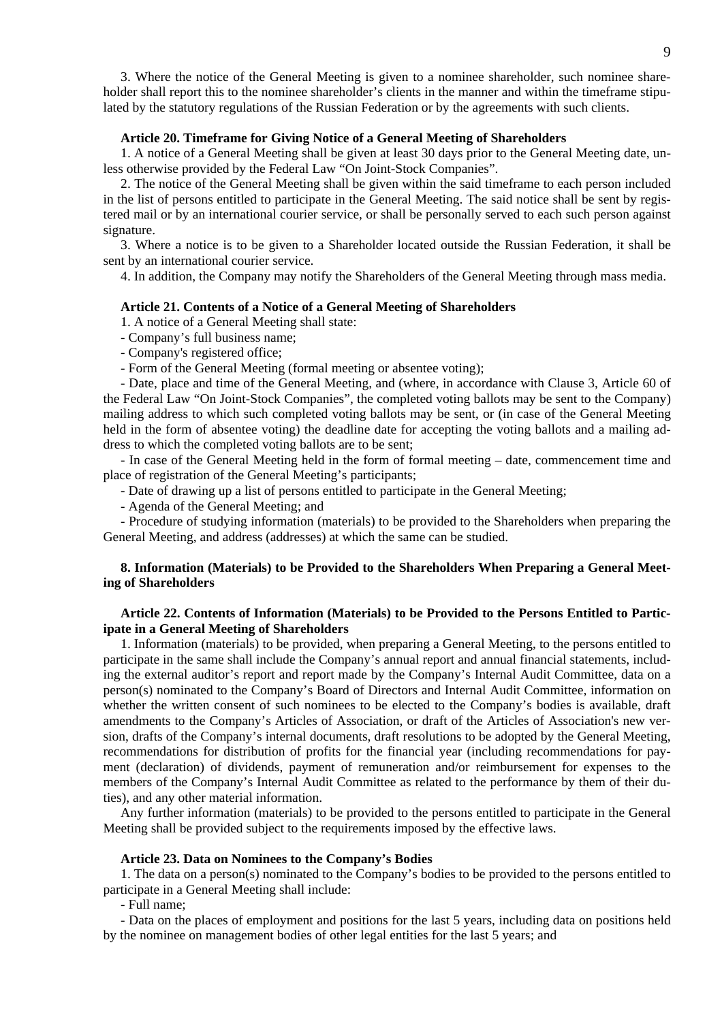3. Where the notice of the General Meeting is given to a nominee shareholder, such nominee shareholder shall report this to the nominee shareholder's clients in the manner and within the timeframe stipulated by the statutory regulations of the Russian Federation or by the agreements with such clients.

### **Article 20. Timeframe for Giving Notice of a General Meeting of Shareholders**

1. A notice of a General Meeting shall be given at least 30 days prior to the General Meeting date, unless otherwise provided by the Federal Law "On Joint-Stock Companies".

2. The notice of the General Meeting shall be given within the said timeframe to each person included in the list of persons entitled to participate in the General Meeting. The said notice shall be sent by registered mail or by an international courier service, or shall be personally served to each such person against signature.

3. Where a notice is to be given to a Shareholder located outside the Russian Federation, it shall be sent by an international courier service.

4. In addition, the Company may notify the Shareholders of the General Meeting through mass media.

#### **Article 21. Contents of a Notice of a General Meeting of Shareholders**

1. A notice of a General Meeting shall state:

- Company's full business name;

- Company's registered office;

- Form of the General Meeting (formal meeting or absentee voting);

- Date, place and time of the General Meeting, and (where, in accordance with Clause 3, Article 60 of the Federal Law "On Joint-Stock Companies", the completed voting ballots may be sent to the Company) mailing address to which such completed voting ballots may be sent, or (in case of the General Meeting held in the form of absentee voting) the deadline date for accepting the voting ballots and a mailing address to which the completed voting ballots are to be sent;

- In case of the General Meeting held in the form of formal meeting – date, commencement time and place of registration of the General Meeting's participants;

- Date of drawing up a list of persons entitled to participate in the General Meeting;

- Agenda of the General Meeting; and

- Procedure of studying information (materials) to be provided to the Shareholders when preparing the General Meeting, and address (addresses) at which the same can be studied.

# **8. Information (Materials) to be Provided to the Shareholders When Preparing a General Meeting of Shareholders**

### **Article 22. Contents of Information (Materials) to be Provided to the Persons Entitled to Participate in a General Meeting of Shareholders**

1. Information (materials) to be provided, when preparing a General Meeting, to the persons entitled to participate in the same shall include the Company's annual report and annual financial statements, including the external auditor's report and report made by the Company's Internal Audit Committee, data on a person(s) nominated to the Company's Board of Directors and Internal Audit Committee, information on whether the written consent of such nominees to be elected to the Company's bodies is available, draft amendments to the Company's Articles of Association, or draft of the Articles of Association's new version, drafts of the Company's internal documents, draft resolutions to be adopted by the General Meeting, recommendations for distribution of profits for the financial year (including recommendations for payment (declaration) of dividends, payment of remuneration and/or reimbursement for expenses to the members of the Company's Internal Audit Committee as related to the performance by them of their duties), and any other material information.

Any further information (materials) to be provided to the persons entitled to participate in the General Meeting shall be provided subject to the requirements imposed by the effective laws.

# **Article 23. Data on Nominees to the Company's Bodies**

1. The data on a person(s) nominated to the Company's bodies to be provided to the persons entitled to participate in a General Meeting shall include:

- Full name;

- Data on the places of employment and positions for the last 5 years, including data on positions held by the nominee on management bodies of other legal entities for the last 5 years; and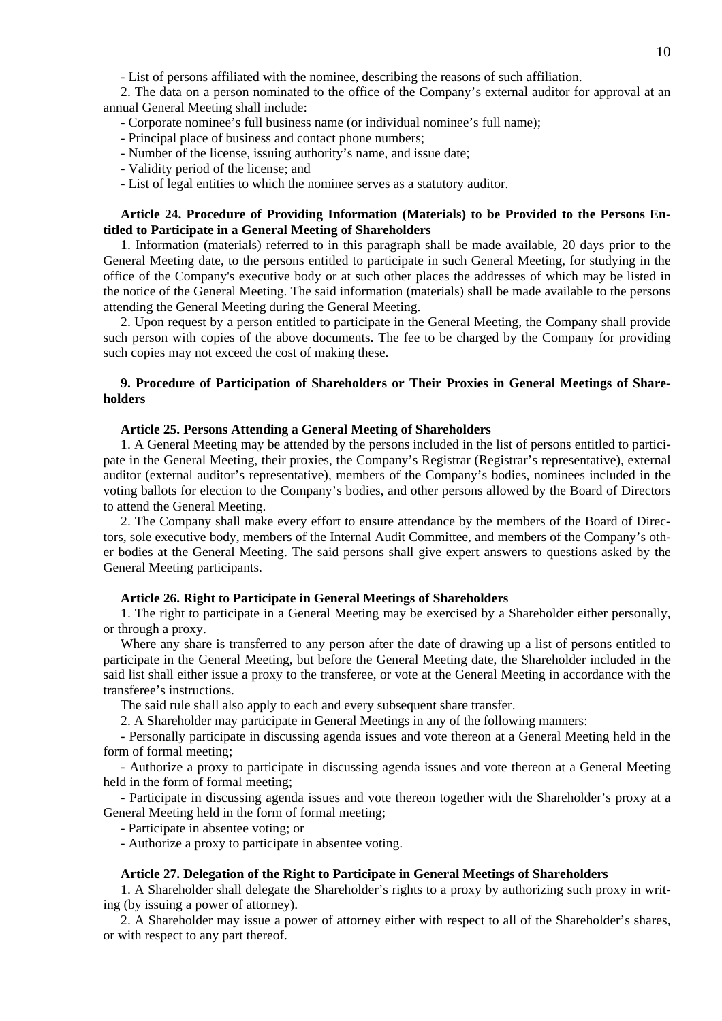- List of persons affiliated with the nominee, describing the reasons of such affiliation.

2. The data on a person nominated to the office of the Company's external auditor for approval at an annual General Meeting shall include:

- Corporate nominee's full business name (or individual nominee's full name);

- Principal place of business and contact phone numbers;

- Number of the license, issuing authority's name, and issue date;

- Validity period of the license; and

- List of legal entities to which the nominee serves as a statutory auditor.

### **Article 24. Procedure of Providing Information (Materials) to be Provided to the Persons Entitled to Participate in a General Meeting of Shareholders**

1. Information (materials) referred to in this paragraph shall be made available, 20 days prior to the General Meeting date, to the persons entitled to participate in such General Meeting, for studying in the office of the Company's executive body or at such other places the addresses of which may be listed in the notice of the General Meeting. The said information (materials) shall be made available to the persons attending the General Meeting during the General Meeting.

2. Upon request by a person entitled to participate in the General Meeting, the Company shall provide such person with copies of the above documents. The fee to be charged by the Company for providing such copies may not exceed the cost of making these.

### **9. Procedure of Participation of Shareholders or Their Proxies in General Meetings of Shareholders**

#### **Article 25. Persons Attending a General Meeting of Shareholders**

1. A General Meeting may be attended by the persons included in the list of persons entitled to participate in the General Meeting, their proxies, the Company's Registrar (Registrar's representative), external auditor (external auditor's representative), members of the Company's bodies, nominees included in the voting ballots for election to the Company's bodies, and other persons allowed by the Board of Directors to attend the General Meeting.

2. The Company shall make every effort to ensure attendance by the members of the Board of Directors, sole executive body, members of the Internal Audit Committee, and members of the Company's other bodies at the General Meeting. The said persons shall give expert answers to questions asked by the General Meeting participants.

#### **Article 26. Right to Participate in General Meetings of Shareholders**

1. The right to participate in a General Meeting may be exercised by a Shareholder either personally, or through a proxy.

Where any share is transferred to any person after the date of drawing up a list of persons entitled to participate in the General Meeting, but before the General Meeting date, the Shareholder included in the said list shall either issue a proxy to the transferee, or vote at the General Meeting in accordance with the transferee's instructions.

The said rule shall also apply to each and every subsequent share transfer.

2. A Shareholder may participate in General Meetings in any of the following manners:

- Personally participate in discussing agenda issues and vote thereon at a General Meeting held in the form of formal meeting;

- Authorize a proxy to participate in discussing agenda issues and vote thereon at a General Meeting held in the form of formal meeting;

- Participate in discussing agenda issues and vote thereon together with the Shareholder's proxy at a General Meeting held in the form of formal meeting;

- Participate in absentee voting; or

- Authorize a proxy to participate in absentee voting.

#### **Article 27. Delegation of the Right to Participate in General Meetings of Shareholders**

1. A Shareholder shall delegate the Shareholder's rights to a proxy by authorizing such proxy in writing (by issuing a power of attorney).

2. A Shareholder may issue a power of attorney either with respect to all of the Shareholder's shares, or with respect to any part thereof.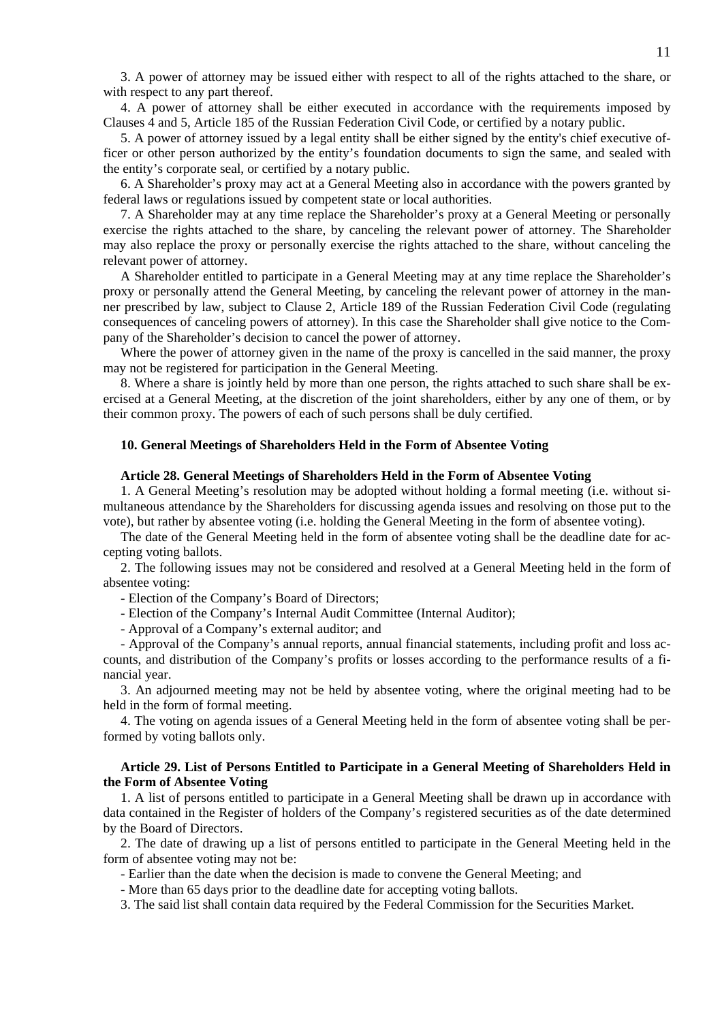3. A power of attorney may be issued either with respect to all of the rights attached to the share, or with respect to any part thereof.

4. A power of attorney shall be either executed in accordance with the requirements imposed by Clauses 4 and 5, Article 185 of the Russian Federation Civil Code, or certified by a notary public.

5. A power of attorney issued by a legal entity shall be either signed by the entity's chief executive officer or other person authorized by the entity's foundation documents to sign the same, and sealed with the entity's corporate seal, or certified by a notary public.

6. A Shareholder's proxy may act at a General Meeting also in accordance with the powers granted by federal laws or regulations issued by competent state or local authorities.

7. A Shareholder may at any time replace the Shareholder's proxy at a General Meeting or personally exercise the rights attached to the share, by canceling the relevant power of attorney. The Shareholder may also replace the proxy or personally exercise the rights attached to the share, without canceling the relevant power of attorney.

A Shareholder entitled to participate in a General Meeting may at any time replace the Shareholder's proxy or personally attend the General Meeting, by canceling the relevant power of attorney in the manner prescribed by law, subject to Clause 2, Article 189 of the Russian Federation Civil Code (regulating consequences of canceling powers of attorney). In this case the Shareholder shall give notice to the Company of the Shareholder's decision to cancel the power of attorney.

Where the power of attorney given in the name of the proxy is cancelled in the said manner, the proxy may not be registered for participation in the General Meeting.

8. Where a share is jointly held by more than one person, the rights attached to such share shall be exercised at a General Meeting, at the discretion of the joint shareholders, either by any one of them, or by their common proxy. The powers of each of such persons shall be duly certified.

### **10. General Meetings of Shareholders Held in the Form of Absentee Voting**

#### **Article 28. General Meetings of Shareholders Held in the Form of Absentee Voting**

1. A General Meeting's resolution may be adopted without holding a formal meeting (i.e. without simultaneous attendance by the Shareholders for discussing agenda issues and resolving on those put to the vote), but rather by absentee voting (i.e. holding the General Meeting in the form of absentee voting).

The date of the General Meeting held in the form of absentee voting shall be the deadline date for accepting voting ballots.

2. The following issues may not be considered and resolved at a General Meeting held in the form of absentee voting:

- Election of the Company's Board of Directors;

- Election of the Company's Internal Audit Committee (Internal Auditor);

- Approval of a Company's external auditor; and

- Approval of the Company's annual reports, annual financial statements, including profit and loss accounts, and distribution of the Company's profits or losses according to the performance results of a financial year.

3. An adjourned meeting may not be held by absentee voting, where the original meeting had to be held in the form of formal meeting.

4. The voting on agenda issues of a General Meeting held in the form of absentee voting shall be performed by voting ballots only.

### **Article 29. List of Persons Entitled to Participate in a General Meeting of Shareholders Held in the Form of Absentee Voting**

1. A list of persons entitled to participate in a General Meeting shall be drawn up in accordance with data contained in the Register of holders of the Company's registered securities as of the date determined by the Board of Directors.

2. The date of drawing up a list of persons entitled to participate in the General Meeting held in the form of absentee voting may not be:

- Earlier than the date when the decision is made to convene the General Meeting; and

- More than 65 days prior to the deadline date for accepting voting ballots.

3. The said list shall contain data required by the Federal Commission for the Securities Market.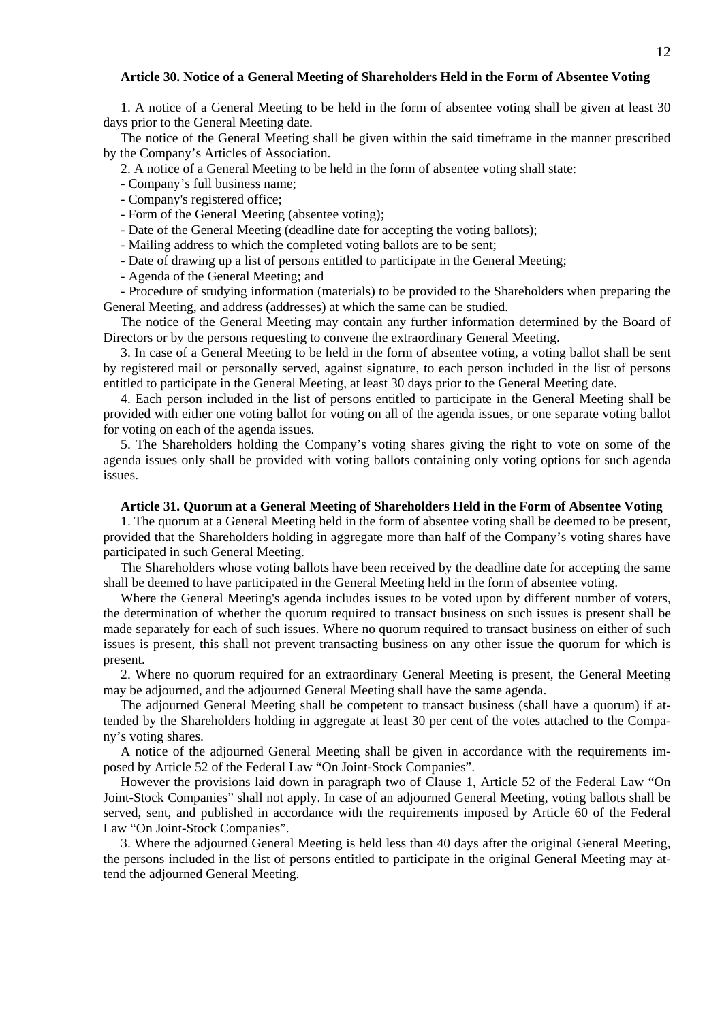### **Article 30. Notice of a General Meeting of Shareholders Held in the Form of Absentee Voting**

1. A notice of a General Meeting to be held in the form of absentee voting shall be given at least 30 days prior to the General Meeting date.

The notice of the General Meeting shall be given within the said timeframe in the manner prescribed by the Company's Articles of Association.

2. A notice of a General Meeting to be held in the form of absentee voting shall state:

- Company's full business name;
- Company's registered office;
- Form of the General Meeting (absentee voting);
- Date of the General Meeting (deadline date for accepting the voting ballots);
- Mailing address to which the completed voting ballots are to be sent;
- Date of drawing up a list of persons entitled to participate in the General Meeting;
- Agenda of the General Meeting; and

- Procedure of studying information (materials) to be provided to the Shareholders when preparing the General Meeting, and address (addresses) at which the same can be studied.

The notice of the General Meeting may contain any further information determined by the Board of Directors or by the persons requesting to convene the extraordinary General Meeting.

3. In case of a General Meeting to be held in the form of absentee voting, a voting ballot shall be sent by registered mail or personally served, against signature, to each person included in the list of persons entitled to participate in the General Meeting, at least 30 days prior to the General Meeting date.

4. Each person included in the list of persons entitled to participate in the General Meeting shall be provided with either one voting ballot for voting on all of the agenda issues, or one separate voting ballot for voting on each of the agenda issues.

5. The Shareholders holding the Company's voting shares giving the right to vote on some of the agenda issues only shall be provided with voting ballots containing only voting options for such agenda issues.

#### **Article 31. Quorum at a General Meeting of Shareholders Held in the Form of Absentee Voting**

1. The quorum at a General Meeting held in the form of absentee voting shall be deemed to be present, provided that the Shareholders holding in aggregate more than half of the Company's voting shares have participated in such General Meeting.

The Shareholders whose voting ballots have been received by the deadline date for accepting the same shall be deemed to have participated in the General Meeting held in the form of absentee voting.

Where the General Meeting's agenda includes issues to be voted upon by different number of voters, the determination of whether the quorum required to transact business on such issues is present shall be made separately for each of such issues. Where no quorum required to transact business on either of such issues is present, this shall not prevent transacting business on any other issue the quorum for which is present.

2. Where no quorum required for an extraordinary General Meeting is present, the General Meeting may be adjourned, and the adjourned General Meeting shall have the same agenda.

The adjourned General Meeting shall be competent to transact business (shall have a quorum) if attended by the Shareholders holding in aggregate at least 30 per cent of the votes attached to the Company's voting shares.

A notice of the adjourned General Meeting shall be given in accordance with the requirements imposed by Article 52 of the Federal Law "On Joint-Stock Companies".

However the provisions laid down in paragraph two of Clause 1, Article 52 of the Federal Law "On Joint-Stock Companies" shall not apply. In case of an adjourned General Meeting, voting ballots shall be served, sent, and published in accordance with the requirements imposed by Article 60 of the Federal Law "On Joint-Stock Companies".

3. Where the adjourned General Meeting is held less than 40 days after the original General Meeting, the persons included in the list of persons entitled to participate in the original General Meeting may attend the adjourned General Meeting.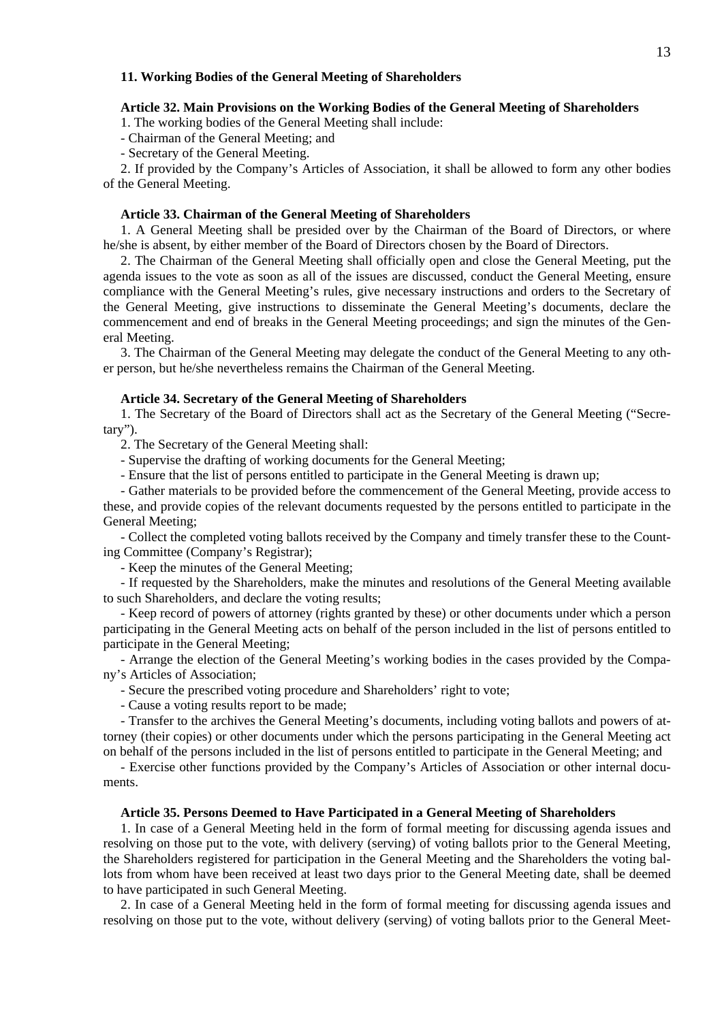### **11. Working Bodies of the General Meeting of Shareholders**

### **Article 32. Main Provisions on the Working Bodies of the General Meeting of Shareholders**

1. The working bodies of the General Meeting shall include:

- Chairman of the General Meeting; and

- Secretary of the General Meeting.

2. If provided by the Company's Articles of Association, it shall be allowed to form any other bodies of the General Meeting.

### **Article 33. Chairman of the General Meeting of Shareholders**

1. A General Meeting shall be presided over by the Chairman of the Board of Directors, or where he/she is absent, by either member of the Board of Directors chosen by the Board of Directors.

2. The Chairman of the General Meeting shall officially open and close the General Meeting, put the agenda issues to the vote as soon as all of the issues are discussed, conduct the General Meeting, ensure compliance with the General Meeting's rules, give necessary instructions and orders to the Secretary of the General Meeting, give instructions to disseminate the General Meeting's documents, declare the commencement and end of breaks in the General Meeting proceedings; and sign the minutes of the General Meeting.

3. The Chairman of the General Meeting may delegate the conduct of the General Meeting to any other person, but he/she nevertheless remains the Chairman of the General Meeting.

#### **Article 34. Secretary of the General Meeting of Shareholders**

1. The Secretary of the Board of Directors shall act as the Secretary of the General Meeting ("Secretary").

2. The Secretary of the General Meeting shall:

- Supervise the drafting of working documents for the General Meeting;

- Ensure that the list of persons entitled to participate in the General Meeting is drawn up;

- Gather materials to be provided before the commencement of the General Meeting, provide access to these, and provide copies of the relevant documents requested by the persons entitled to participate in the General Meeting;

- Collect the completed voting ballots received by the Company and timely transfer these to the Counting Committee (Company's Registrar);

- Keep the minutes of the General Meeting;

- If requested by the Shareholders, make the minutes and resolutions of the General Meeting available to such Shareholders, and declare the voting results;

- Keep record of powers of attorney (rights granted by these) or other documents under which a person participating in the General Meeting acts on behalf of the person included in the list of persons entitled to participate in the General Meeting;

- Arrange the election of the General Meeting's working bodies in the cases provided by the Company's Articles of Association;

- Secure the prescribed voting procedure and Shareholders' right to vote;

- Cause a voting results report to be made;

- Transfer to the archives the General Meeting's documents, including voting ballots and powers of attorney (their copies) or other documents under which the persons participating in the General Meeting act on behalf of the persons included in the list of persons entitled to participate in the General Meeting; and

- Exercise other functions provided by the Company's Articles of Association or other internal documents.

#### **Article 35. Persons Deemed to Have Participated in a General Meeting of Shareholders**

1. In case of a General Meeting held in the form of formal meeting for discussing agenda issues and resolving on those put to the vote, with delivery (serving) of voting ballots prior to the General Meeting, the Shareholders registered for participation in the General Meeting and the Shareholders the voting ballots from whom have been received at least two days prior to the General Meeting date, shall be deemed to have participated in such General Meeting.

2. In case of a General Meeting held in the form of formal meeting for discussing agenda issues and resolving on those put to the vote, without delivery (serving) of voting ballots prior to the General Meet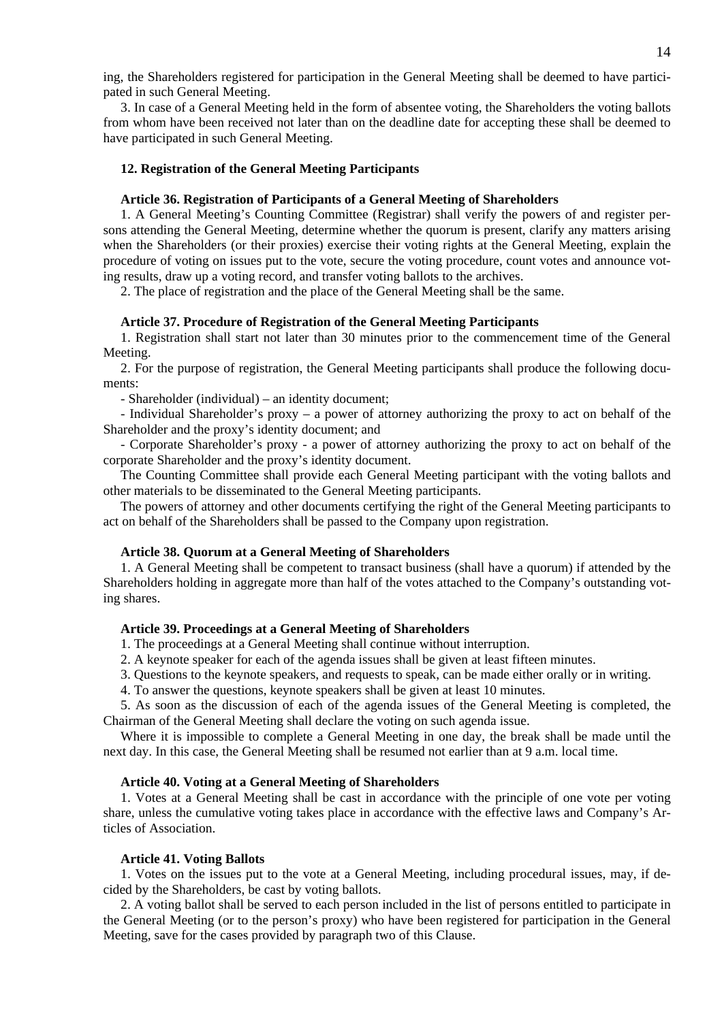ing, the Shareholders registered for participation in the General Meeting shall be deemed to have participated in such General Meeting.

3. In case of a General Meeting held in the form of absentee voting, the Shareholders the voting ballots from whom have been received not later than on the deadline date for accepting these shall be deemed to have participated in such General Meeting.

### **12. Registration of the General Meeting Participants**

#### **Article 36. Registration of Participants of a General Meeting of Shareholders**

1. A General Meeting's Counting Committee (Registrar) shall verify the powers of and register persons attending the General Meeting, determine whether the quorum is present, clarify any matters arising when the Shareholders (or their proxies) exercise their voting rights at the General Meeting, explain the procedure of voting on issues put to the vote, secure the voting procedure, count votes and announce voting results, draw up a voting record, and transfer voting ballots to the archives.

2. The place of registration and the place of the General Meeting shall be the same.

#### **Article 37. Procedure of Registration of the General Meeting Participants**

1. Registration shall start not later than 30 minutes prior to the commencement time of the General Meeting.

2. For the purpose of registration, the General Meeting participants shall produce the following documents:

- Shareholder (individual) – an identity document;

- Individual Shareholder's proxy – a power of attorney authorizing the proxy to act on behalf of the Shareholder and the proxy's identity document; and

- Corporate Shareholder's proxy - a power of attorney authorizing the proxy to act on behalf of the corporate Shareholder and the proxy's identity document.

The Counting Committee shall provide each General Meeting participant with the voting ballots and other materials to be disseminated to the General Meeting participants.

The powers of attorney and other documents certifying the right of the General Meeting participants to act on behalf of the Shareholders shall be passed to the Company upon registration.

#### **Article 38. Quorum at a General Meeting of Shareholders**

1. A General Meeting shall be competent to transact business (shall have a quorum) if attended by the Shareholders holding in aggregate more than half of the votes attached to the Company's outstanding voting shares.

### **Article 39. Proceedings at a General Meeting of Shareholders**

1. The proceedings at a General Meeting shall continue without interruption.

2. A keynote speaker for each of the agenda issues shall be given at least fifteen minutes.

3. Questions to the keynote speakers, and requests to speak, can be made either orally or in writing.

4. To answer the questions, keynote speakers shall be given at least 10 minutes.

5. As soon as the discussion of each of the agenda issues of the General Meeting is completed, the Chairman of the General Meeting shall declare the voting on such agenda issue.

Where it is impossible to complete a General Meeting in one day, the break shall be made until the next day. In this case, the General Meeting shall be resumed not earlier than at 9 a.m. local time.

#### **Article 40. Voting at a General Meeting of Shareholders**

1. Votes at a General Meeting shall be cast in accordance with the principle of one vote per voting share, unless the cumulative voting takes place in accordance with the effective laws and Company's Articles of Association.

#### **Article 41. Voting Ballots**

1. Votes on the issues put to the vote at a General Meeting, including procedural issues, may, if decided by the Shareholders, be cast by voting ballots.

2. A voting ballot shall be served to each person included in the list of persons entitled to participate in the General Meeting (or to the person's proxy) who have been registered for participation in the General Meeting, save for the cases provided by paragraph two of this Clause.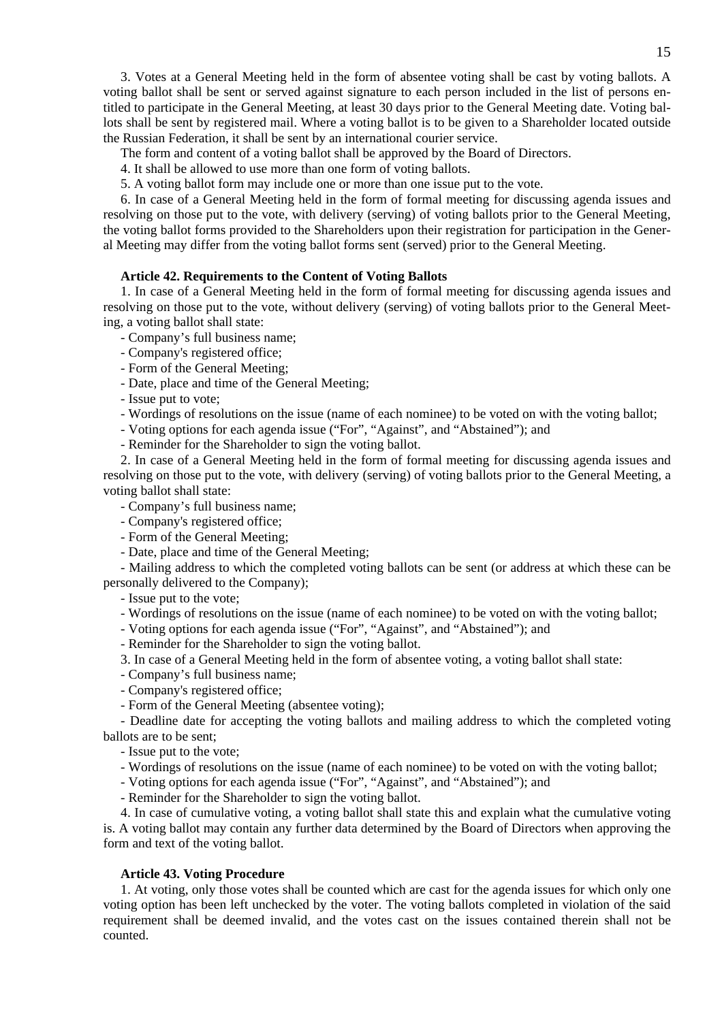3. Votes at a General Meeting held in the form of absentee voting shall be cast by voting ballots. A voting ballot shall be sent or served against signature to each person included in the list of persons entitled to participate in the General Meeting, at least 30 days prior to the General Meeting date. Voting ballots shall be sent by registered mail. Where a voting ballot is to be given to a Shareholder located outside the Russian Federation, it shall be sent by an international courier service.

The form and content of a voting ballot shall be approved by the Board of Directors.

4. It shall be allowed to use more than one form of voting ballots.

5. A voting ballot form may include one or more than one issue put to the vote.

6. In case of a General Meeting held in the form of formal meeting for discussing agenda issues and resolving on those put to the vote, with delivery (serving) of voting ballots prior to the General Meeting, the voting ballot forms provided to the Shareholders upon their registration for participation in the General Meeting may differ from the voting ballot forms sent (served) prior to the General Meeting.

# **Article 42. Requirements to the Content of Voting Ballots**

1. In case of a General Meeting held in the form of formal meeting for discussing agenda issues and resolving on those put to the vote, without delivery (serving) of voting ballots prior to the General Meeting, a voting ballot shall state:

- Company's full business name;

- Company's registered office;
- Form of the General Meeting;
- Date, place and time of the General Meeting;
- Issue put to vote;

- Wordings of resolutions on the issue (name of each nominee) to be voted on with the voting ballot;

- Voting options for each agenda issue ("For", "Against", and "Abstained"); and
- Reminder for the Shareholder to sign the voting ballot.

2. In case of a General Meeting held in the form of formal meeting for discussing agenda issues and resolving on those put to the vote, with delivery (serving) of voting ballots prior to the General Meeting, a voting ballot shall state:

- Company's full business name;
- Company's registered office;
- Form of the General Meeting;
- Date, place and time of the General Meeting;

- Mailing address to which the completed voting ballots can be sent (or address at which these can be personally delivered to the Company);

- Issue put to the vote;
- Wordings of resolutions on the issue (name of each nominee) to be voted on with the voting ballot;
- Voting options for each agenda issue ("For", "Against", and "Abstained"); and
- Reminder for the Shareholder to sign the voting ballot.
- 3. In case of a General Meeting held in the form of absentee voting, a voting ballot shall state:
- Company's full business name;
- Company's registered office;
- Form of the General Meeting (absentee voting);

- Deadline date for accepting the voting ballots and mailing address to which the completed voting ballots are to be sent;

- Issue put to the vote;
- Wordings of resolutions on the issue (name of each nominee) to be voted on with the voting ballot;
- Voting options for each agenda issue ("For", "Against", and "Abstained"); and
- Reminder for the Shareholder to sign the voting ballot.

4. In case of cumulative voting, a voting ballot shall state this and explain what the cumulative voting is. A voting ballot may contain any further data determined by the Board of Directors when approving the form and text of the voting ballot.

### **Article 43. Voting Procedure**

1. At voting, only those votes shall be counted which are cast for the agenda issues for which only one voting option has been left unchecked by the voter. The voting ballots completed in violation of the said requirement shall be deemed invalid, and the votes cast on the issues contained therein shall not be counted.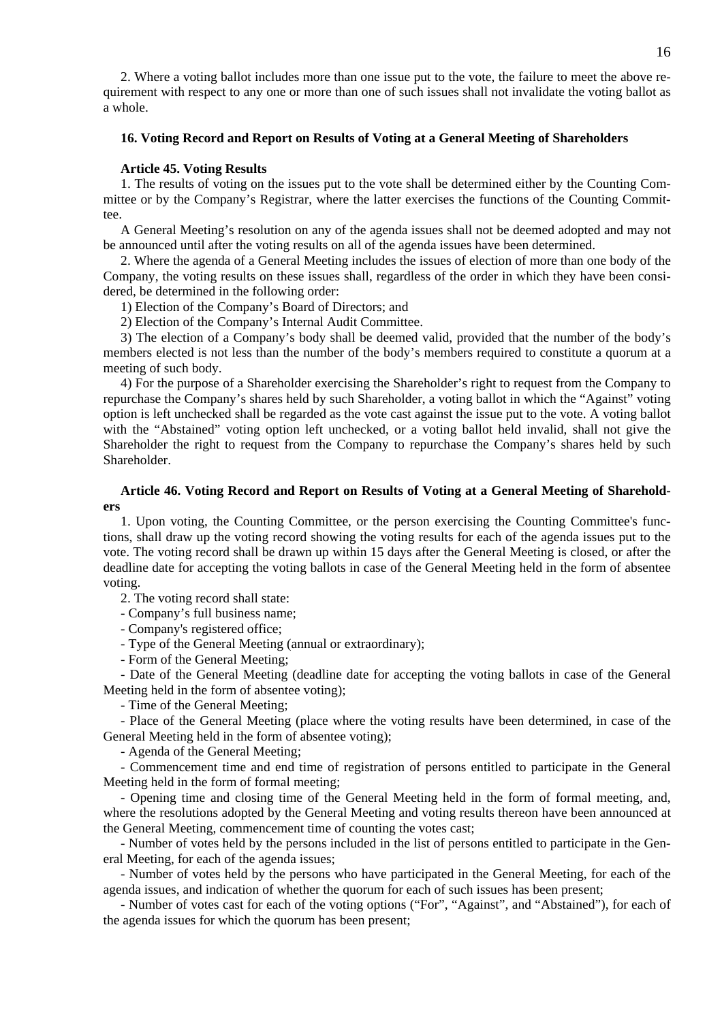2. Where a voting ballot includes more than one issue put to the vote, the failure to meet the above requirement with respect to any one or more than one of such issues shall not invalidate the voting ballot as a whole.

### **16. Voting Record and Report on Results of Voting at a General Meeting of Shareholders**

#### **Article 45. Voting Results**

1. The results of voting on the issues put to the vote shall be determined either by the Counting Committee or by the Company's Registrar, where the latter exercises the functions of the Counting Committee.

A General Meeting's resolution on any of the agenda issues shall not be deemed adopted and may not be announced until after the voting results on all of the agenda issues have been determined.

2. Where the agenda of a General Meeting includes the issues of election of more than one body of the Company, the voting results on these issues shall, regardless of the order in which they have been considered, be determined in the following order:

1) Election of the Company's Board of Directors; and

2) Election of the Company's Internal Audit Committee.

3) The election of a Company's body shall be deemed valid, provided that the number of the body's members elected is not less than the number of the body's members required to constitute a quorum at a meeting of such body.

4) For the purpose of a Shareholder exercising the Shareholder's right to request from the Company to repurchase the Company's shares held by such Shareholder, a voting ballot in which the "Against" voting option is left unchecked shall be regarded as the vote cast against the issue put to the vote. A voting ballot with the "Abstained" voting option left unchecked, or a voting ballot held invalid, shall not give the Shareholder the right to request from the Company to repurchase the Company's shares held by such Shareholder.

### **Article 46. Voting Record and Report on Results of Voting at a General Meeting of Shareholders**

1. Upon voting, the Counting Committee, or the person exercising the Counting Committee's functions, shall draw up the voting record showing the voting results for each of the agenda issues put to the vote. The voting record shall be drawn up within 15 days after the General Meeting is closed, or after the deadline date for accepting the voting ballots in case of the General Meeting held in the form of absentee voting.

2. The voting record shall state:

- Company's full business name;

- Company's registered office;

- Type of the General Meeting (annual or extraordinary);

- Form of the General Meeting;

- Date of the General Meeting (deadline date for accepting the voting ballots in case of the General Meeting held in the form of absentee voting);

- Time of the General Meeting;

- Place of the General Meeting (place where the voting results have been determined, in case of the General Meeting held in the form of absentee voting);

- Agenda of the General Meeting;

- Commencement time and end time of registration of persons entitled to participate in the General Meeting held in the form of formal meeting;

- Opening time and closing time of the General Meeting held in the form of formal meeting, and, where the resolutions adopted by the General Meeting and voting results thereon have been announced at the General Meeting, commencement time of counting the votes cast;

- Number of votes held by the persons included in the list of persons entitled to participate in the General Meeting, for each of the agenda issues;

- Number of votes held by the persons who have participated in the General Meeting, for each of the agenda issues, and indication of whether the quorum for each of such issues has been present;

- Number of votes cast for each of the voting options ("For", "Against", and "Abstained"), for each of the agenda issues for which the quorum has been present;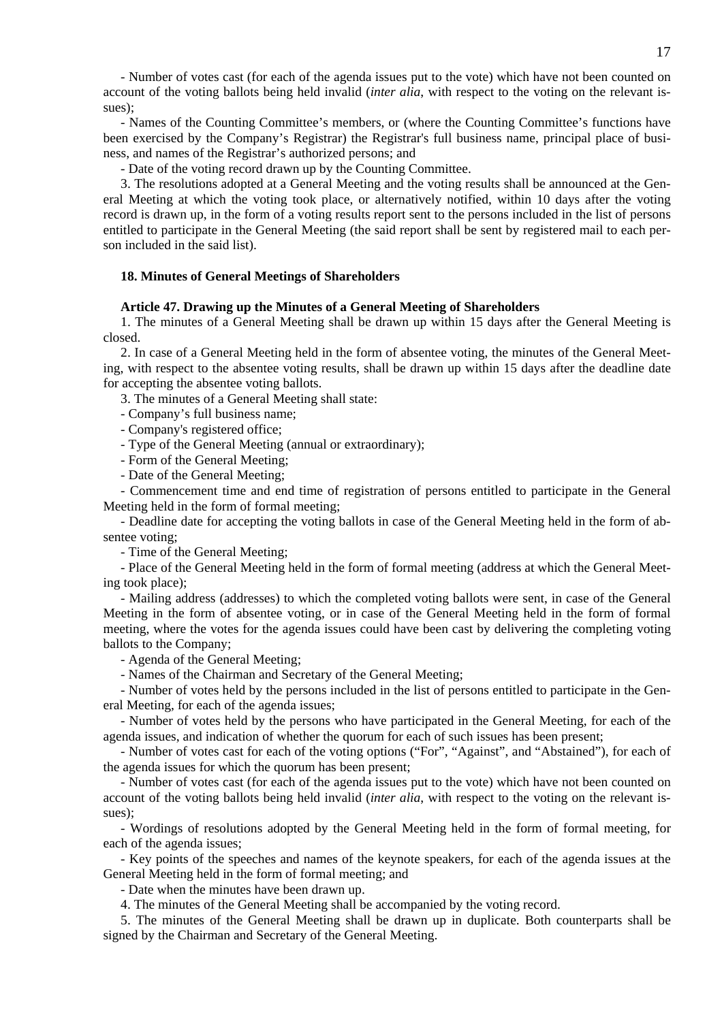- Number of votes cast (for each of the agenda issues put to the vote) which have not been counted on account of the voting ballots being held invalid (*inter alia*, with respect to the voting on the relevant issues);

- Names of the Counting Committee's members, or (where the Counting Committee's functions have been exercised by the Company's Registrar) the Registrar's full business name, principal place of business, and names of the Registrar's authorized persons; and

- Date of the voting record drawn up by the Counting Committee.

3. The resolutions adopted at a General Meeting and the voting results shall be announced at the General Meeting at which the voting took place, or alternatively notified, within 10 days after the voting record is drawn up, in the form of a voting results report sent to the persons included in the list of persons entitled to participate in the General Meeting (the said report shall be sent by registered mail to each person included in the said list).

#### **18. Minutes of General Meetings of Shareholders**

#### **Article 47. Drawing up the Minutes of a General Meeting of Shareholders**

1. The minutes of a General Meeting shall be drawn up within 15 days after the General Meeting is closed.

2. In case of a General Meeting held in the form of absentee voting, the minutes of the General Meeting, with respect to the absentee voting results, shall be drawn up within 15 days after the deadline date for accepting the absentee voting ballots.

3. The minutes of a General Meeting shall state:

- Company's full business name;
- Company's registered office;
- Type of the General Meeting (annual or extraordinary);
- Form of the General Meeting;
- Date of the General Meeting;

- Commencement time and end time of registration of persons entitled to participate in the General Meeting held in the form of formal meeting;

- Deadline date for accepting the voting ballots in case of the General Meeting held in the form of absentee voting;

- Time of the General Meeting;

- Place of the General Meeting held in the form of formal meeting (address at which the General Meeting took place);

- Mailing address (addresses) to which the completed voting ballots were sent, in case of the General Meeting in the form of absentee voting, or in case of the General Meeting held in the form of formal meeting, where the votes for the agenda issues could have been cast by delivering the completing voting ballots to the Company;

- Agenda of the General Meeting;

- Names of the Chairman and Secretary of the General Meeting;

- Number of votes held by the persons included in the list of persons entitled to participate in the General Meeting, for each of the agenda issues;

- Number of votes held by the persons who have participated in the General Meeting, for each of the agenda issues, and indication of whether the quorum for each of such issues has been present;

- Number of votes cast for each of the voting options ("For", "Against", and "Abstained"), for each of the agenda issues for which the quorum has been present;

- Number of votes cast (for each of the agenda issues put to the vote) which have not been counted on account of the voting ballots being held invalid (*inter alia*, with respect to the voting on the relevant issues);

- Wordings of resolutions adopted by the General Meeting held in the form of formal meeting, for each of the agenda issues;

- Key points of the speeches and names of the keynote speakers, for each of the agenda issues at the General Meeting held in the form of formal meeting; and

- Date when the minutes have been drawn up.

4. The minutes of the General Meeting shall be accompanied by the voting record.

5. The minutes of the General Meeting shall be drawn up in duplicate. Both counterparts shall be signed by the Chairman and Secretary of the General Meeting.